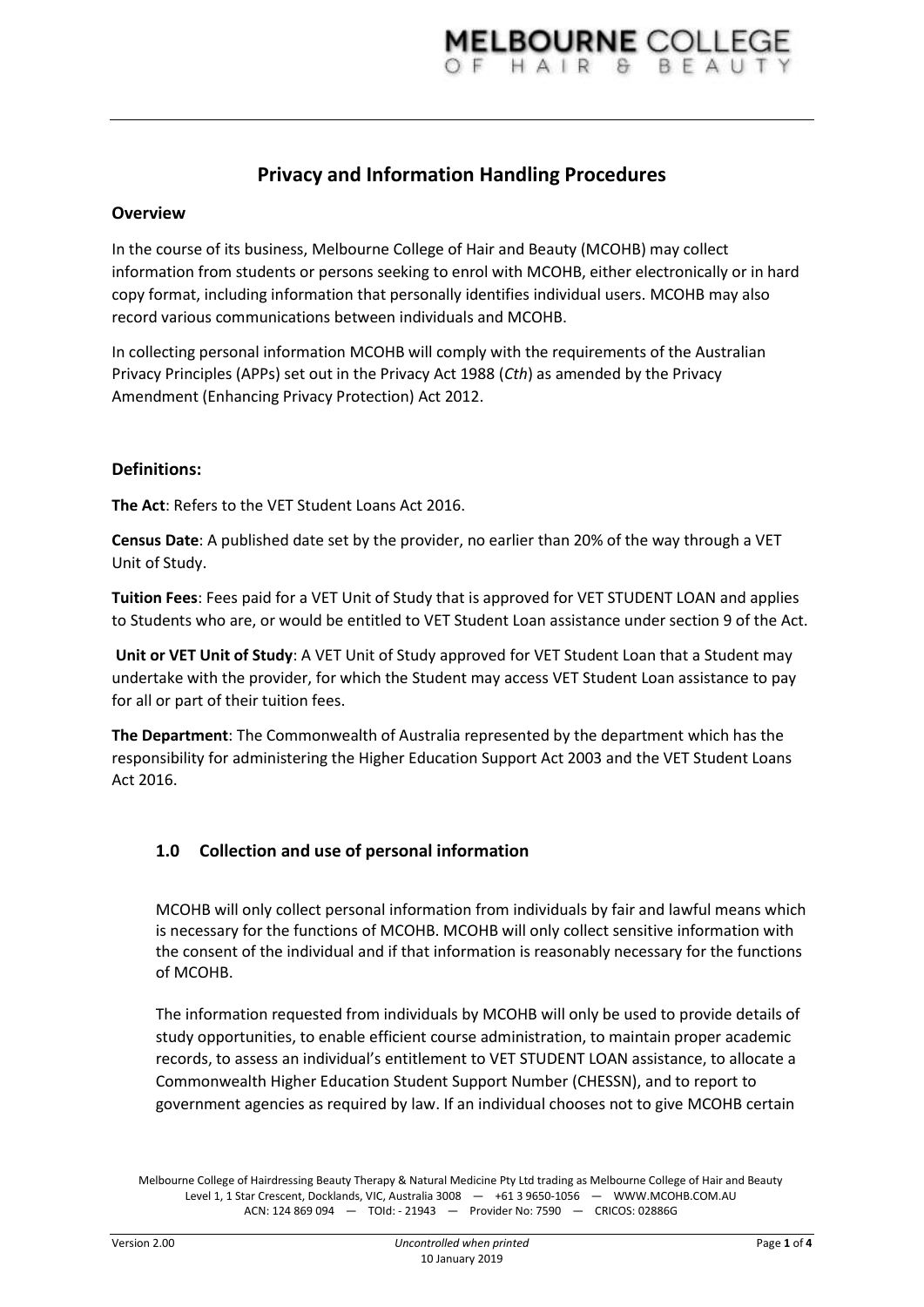# **Privacy and Information Handling Procedures**

#### **Overview**

In the course of its business, Melbourne College of Hair and Beauty (MCOHB) may collect information from students or persons seeking to enrol with MCOHB, either electronically or in hard copy format, including information that personally identifies individual users. MCOHB may also record various communications between individuals and MCOHB.

In collecting personal information MCOHB will comply with the requirements of the Australian Privacy Principles (APPs) set out in the Privacy Act 1988 (*Cth*) as amended by the Privacy Amendment (Enhancing Privacy Protection) Act 2012.

#### **Definitions:**

**The Act**: Refers to the VET Student Loans Act 2016.

**Census Date**: A published date set by the provider, no earlier than 20% of the way through a VET Unit of Study.

**Tuition Fees**: Fees paid for a VET Unit of Study that is approved for VET STUDENT LOAN and applies to Students who are, or would be entitled to VET Student Loan assistance under section 9 of the Act.

**Unit or VET Unit of Study**: A VET Unit of Study approved for VET Student Loan that a Student may undertake with the provider, for which the Student may access VET Student Loan assistance to pay for all or part of their tuition fees.

**The Department**: The Commonwealth of Australia represented by the department which has the responsibility for administering the Higher Education Support Act 2003 and the VET Student Loans Act 2016.

### **1.0 Collection and use of personal information**

MCOHB will only collect personal information from individuals by fair and lawful means which is necessary for the functions of MCOHB. MCOHB will only collect sensitive information with the consent of the individual and if that information is reasonably necessary for the functions of MCOHB.

The information requested from individuals by MCOHB will only be used to provide details of study opportunities, to enable efficient course administration, to maintain proper academic records, to assess an individual's entitlement to VET STUDENT LOAN assistance, to allocate a Commonwealth Higher Education Student Support Number (CHESSN), and to report to government agencies as required by law. If an individual chooses not to give MCOHB certain

Melbourne College of Hairdressing Beauty Therapy & Natural Medicine Pty Ltd trading as Melbourne College of Hair and Beauty Level 1, 1 Star Crescent, Docklands, VIC, Australia 3008 — +61 3 9650-1056 — WWW.MCOHB.COM.AU ACN: 124 869 094 — TOId: - 21943 — Provider No: 7590 — CRICOS: 02886G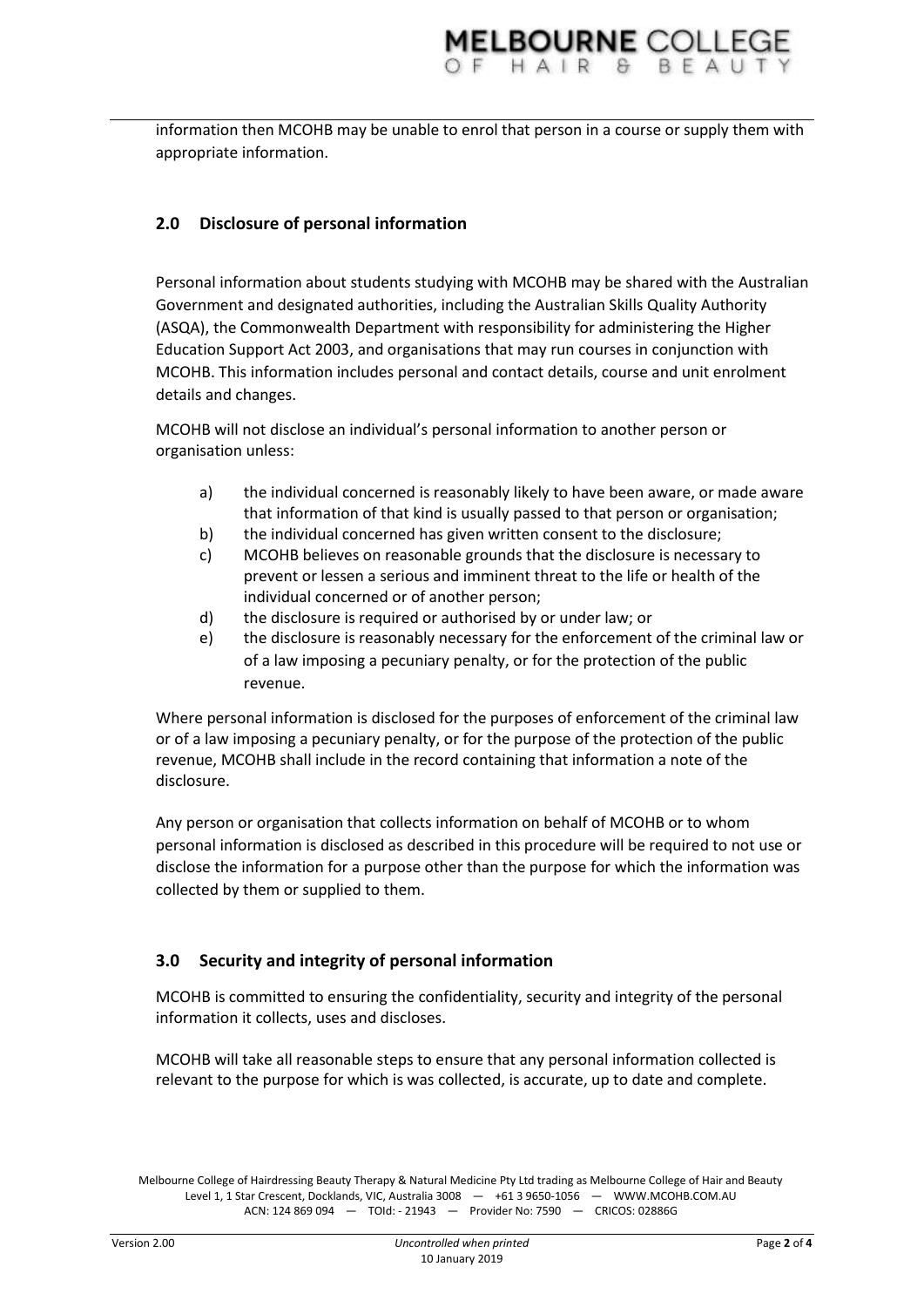information then MCOHB may be unable to enrol that person in a course or supply them with appropriate information.

# **2.0 Disclosure of personal information**

Personal information about students studying with MCOHB may be shared with the Australian Government and designated authorities, including the Australian Skills Quality Authority (ASQA), the Commonwealth Department with responsibility for administering the Higher Education Support Act 2003, and organisations that may run courses in conjunction with MCOHB. This information includes personal and contact details, course and unit enrolment details and changes.

MCOHB will not disclose an individual's personal information to another person or organisation unless:

- a) the individual concerned is reasonably likely to have been aware, or made aware that information of that kind is usually passed to that person or organisation;
- b) the individual concerned has given written consent to the disclosure;
- c) MCOHB believes on reasonable grounds that the disclosure is necessary to prevent or lessen a serious and imminent threat to the life or health of the individual concerned or of another person;
- d) the disclosure is required or authorised by or under law; or
- e) the disclosure is reasonably necessary for the enforcement of the criminal law or of a law imposing a pecuniary penalty, or for the protection of the public revenue.

Where personal information is disclosed for the purposes of enforcement of the criminal law or of a law imposing a pecuniary penalty, or for the purpose of the protection of the public revenue, MCOHB shall include in the record containing that information a note of the disclosure.

Any person or organisation that collects information on behalf of MCOHB or to whom personal information is disclosed as described in this procedure will be required to not use or disclose the information for a purpose other than the purpose for which the information was collected by them or supplied to them.

# **3.0 Security and integrity of personal information**

MCOHB is committed to ensuring the confidentiality, security and integrity of the personal information it collects, uses and discloses.

MCOHB will take all reasonable steps to ensure that any personal information collected is relevant to the purpose for which is was collected, is accurate, up to date and complete.

Melbourne College of Hairdressing Beauty Therapy & Natural Medicine Pty Ltd trading as Melbourne College of Hair and Beauty Level 1, 1 Star Crescent, Docklands, VIC, Australia 3008 - +61 3 9650-1056 - WWW.MCOHB.COM.AU ACN: 124 869 094 — TOId: - 21943 — Provider No: 7590 — CRICOS: 02886G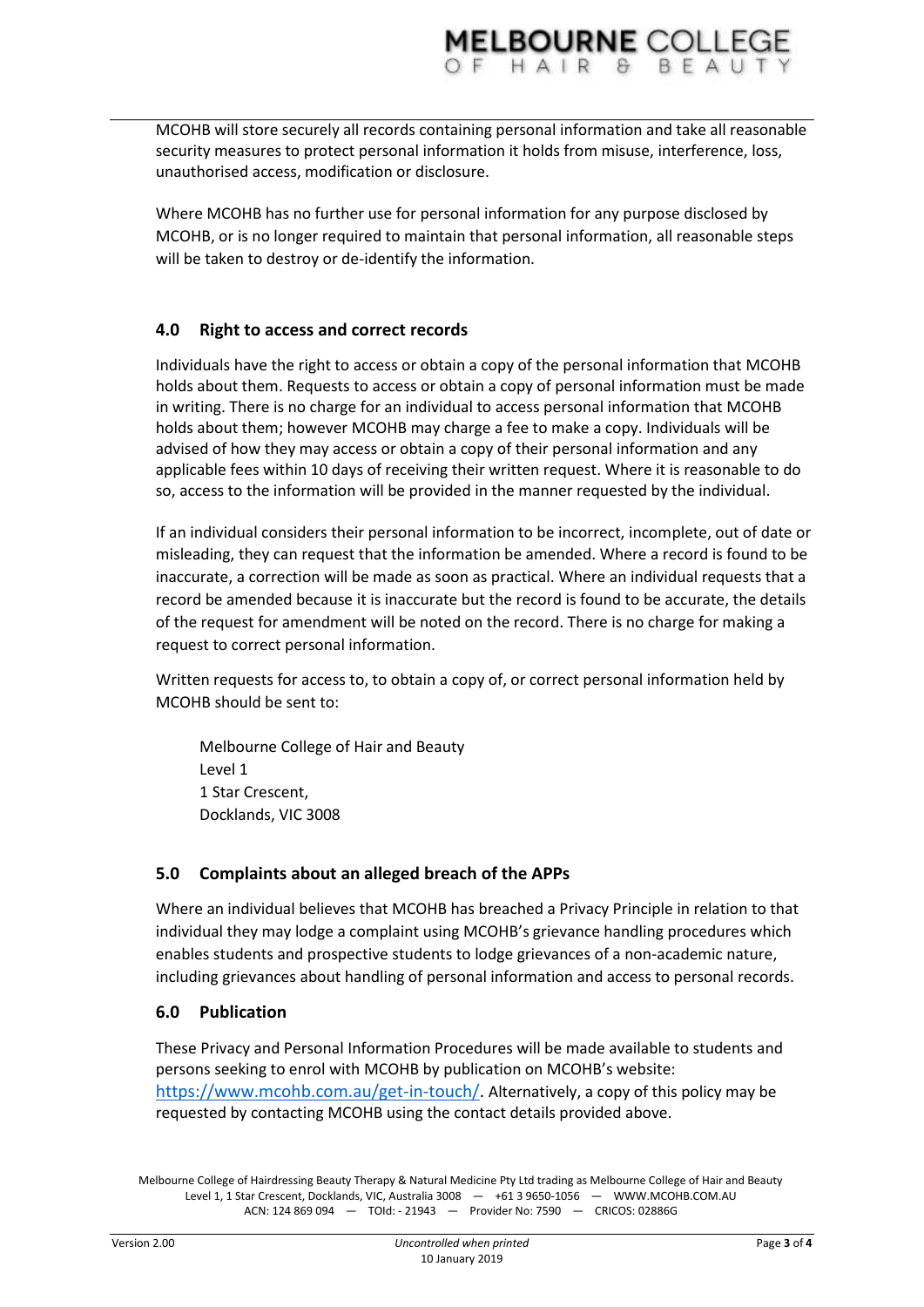MELBOURNE COLLEGE

Where MCOHB has no further use for personal information for any purpose disclosed by MCOHB, or is no longer required to maintain that personal information, all reasonable steps

## **4.0 Right to access and correct records**

unauthorised access, modification or disclosure.

will be taken to destroy or de-identify the information.

Individuals have the right to access or obtain a copy of the personal information that MCOHB holds about them. Requests to access or obtain a copy of personal information must be made in writing. There is no charge for an individual to access personal information that MCOHB holds about them; however MCOHB may charge a fee to make a copy. Individuals will be advised of how they may access or obtain a copy of their personal information and any applicable fees within 10 days of receiving their written request. Where it is reasonable to do so, access to the information will be provided in the manner requested by the individual.

If an individual considers their personal information to be incorrect, incomplete, out of date or misleading, they can request that the information be amended. Where a record is found to be inaccurate, a correction will be made as soon as practical. Where an individual requests that a record be amended because it is inaccurate but the record is found to be accurate, the details of the request for amendment will be noted on the record. There is no charge for making a request to correct personal information.

Written requests for access to, to obtain a copy of, or correct personal information held by MCOHB should be sent to:

Melbourne College of Hair and Beauty Level 1 1 Star Crescent, Docklands, VIC 3008

### **5.0 Complaints about an alleged breach of the APPs**

Where an individual believes that MCOHB has breached a Privacy Principle in relation to that individual they may lodge a complaint using MCOHB's grievance handling procedures which enables students and prospective students to lodge grievances of a non-academic nature, including grievances about handling of personal information and access to personal records.

### **6.0 Publication**

These Privacy and Personal Information Procedures will be made available to students and persons seeking to enrol with MCOHB by publication on MCOHB's website: [https://www.mcohb.com.au/get-in-touch/.](https://www.mcohb.com.au/get-in-touch/) Alternatively, a copy of this policy may be requested by contacting MCOHB using the contact details provided above.

Melbourne College of Hairdressing Beauty Therapy & Natural Medicine Pty Ltd trading as Melbourne College of Hair and Beauty Level 1, 1 Star Crescent, Docklands, VIC, Australia 3008 — +61 3 9650-1056 — WWW.MCOHB.COM.AU ACN: 124 869 094 — TOId: - 21943 — Provider No: 7590 — CRICOS: 02886G